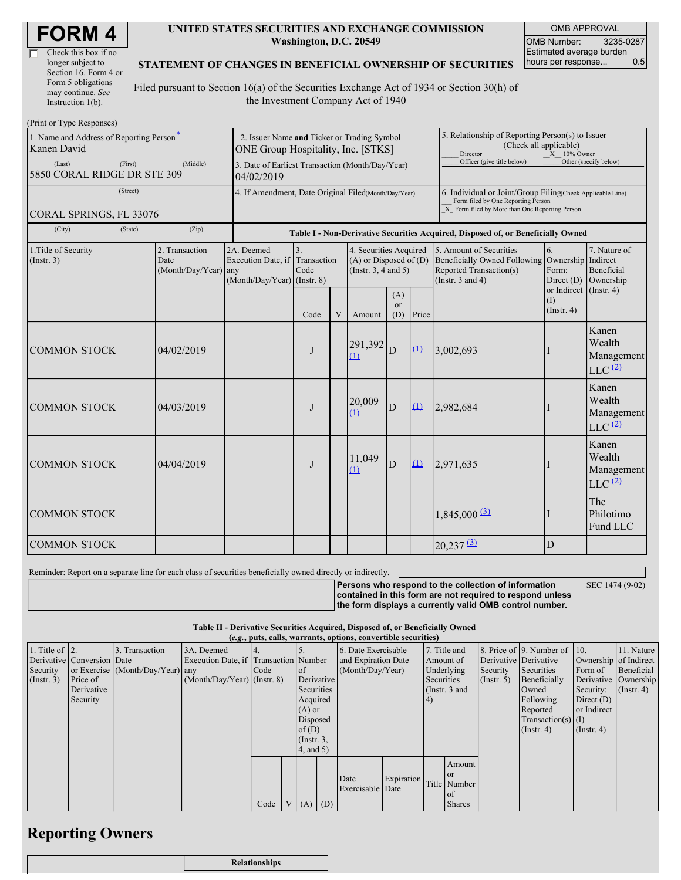| Check this box if no  |
|-----------------------|
| longer subject to     |
| Section 16. Form 4 or |
| Form 5 obligations    |
| may continue. See     |
| Instruction $1(b)$ .  |

#### **UNITED STATES SECURITIES AND EXCHANGE COMMISSION Washington, D.C. 20549**

OMB APPROVAL OMB Number: 3235-0287 Estimated average burden hours per response... 0.5

### **STATEMENT OF CHANGES IN BENEFICIAL OWNERSHIP OF SECURITIES**

Filed pursuant to Section 16(a) of the Securities Exchange Act of 1934 or Section 30(h) of the Investment Company Act of 1940

| (Print or Type Responses)                               |                                                                                   |                                                                                  |                           |   |                                                                                  |                                                                                                            |                                                                                                                                                                 |                                                                                                                                                               |                         |                                                                    |
|---------------------------------------------------------|-----------------------------------------------------------------------------------|----------------------------------------------------------------------------------|---------------------------|---|----------------------------------------------------------------------------------|------------------------------------------------------------------------------------------------------------|-----------------------------------------------------------------------------------------------------------------------------------------------------------------|---------------------------------------------------------------------------------------------------------------------------------------------------------------|-------------------------|--------------------------------------------------------------------|
| 1. Name and Address of Reporting Person-<br>Kanen David | 2. Issuer Name and Ticker or Trading Symbol<br>ONE Group Hospitality, Inc. [STKS] |                                                                                  |                           |   |                                                                                  | 5. Relationship of Reporting Person(s) to Issuer<br>(Check all applicable)<br>$X = 10\%$ Owner<br>Director |                                                                                                                                                                 |                                                                                                                                                               |                         |                                                                    |
| (First)<br>(Last)<br>5850 CORAL RIDGE DR STE 309        | 3. Date of Earliest Transaction (Month/Day/Year)<br>04/02/2019                    |                                                                                  |                           |   |                                                                                  | Officer (give title below)                                                                                 |                                                                                                                                                                 | Other (specify below)                                                                                                                                         |                         |                                                                    |
| (Street)<br>CORAL SPRINGS, FL 33076                     | 4. If Amendment, Date Original Filed(Month/Day/Year)                              |                                                                                  |                           |   |                                                                                  |                                                                                                            | 6. Individual or Joint/Group Filing(Check Applicable Line)<br>Form filed by One Reporting Person<br>$\overline{X}$ Form filed by More than One Reporting Person |                                                                                                                                                               |                         |                                                                    |
| (City)<br>(State)                                       |                                                                                   | Table I - Non-Derivative Securities Acquired, Disposed of, or Beneficially Owned |                           |   |                                                                                  |                                                                                                            |                                                                                                                                                                 |                                                                                                                                                               |                         |                                                                    |
| 1. Title of Security<br>(Insert. 3)                     | 2. Transaction<br>Date<br>(Month/Day/Year) any                                    | 2A. Deemed<br>Execution Date, if<br>$(Month/Day/Year)$ (Instr. 8)                | 3.<br>Transaction<br>Code |   | 4. Securities Acquired<br>$(A)$ or Disposed of $(D)$<br>(Instr. $3, 4$ and $5$ ) |                                                                                                            |                                                                                                                                                                 | 5. Amount of Securities<br>6.<br>Beneficially Owned Following Ownership Indirect<br>Reported Transaction(s)<br>Form:<br>(Instr. $3$ and $4$ )<br>Direct $(D)$ |                         | 7. Nature of<br>Beneficial<br>Ownership<br>or Indirect (Instr. 4)  |
|                                                         |                                                                                   |                                                                                  | Code                      | V | Amount                                                                           | (A)<br><b>or</b><br>(D)                                                                                    | Price                                                                                                                                                           |                                                                                                                                                               | (1)<br>$($ Instr. 4 $)$ |                                                                    |
| <b>COMMON STOCK</b>                                     | 04/02/2019                                                                        |                                                                                  | J                         |   | 291,392<br>$\Omega$                                                              | D                                                                                                          | $\Omega$                                                                                                                                                        | 3,002,693                                                                                                                                                     |                         | Kanen<br>Wealth<br>Management<br>$LLC$ $(2)$                       |
| <b>COMMON STOCK</b>                                     | 04/03/2019                                                                        |                                                                                  | J                         |   | 20,009<br>(1)                                                                    | D                                                                                                          | (1)                                                                                                                                                             | 2,982,684                                                                                                                                                     |                         | Kanen<br>Wealth<br>Management<br>$LLC$ $(2)$                       |
| <b>COMMON STOCK</b>                                     | 04/04/2019                                                                        |                                                                                  | J                         |   | 11,049<br>(1)                                                                    | D                                                                                                          | $\Omega$                                                                                                                                                        | 2,971,635                                                                                                                                                     |                         | Kanen<br>Wealth<br>Management<br>$LLC$ <sup><math>(2)</math></sup> |
| <b>COMMON STOCK</b>                                     |                                                                                   |                                                                                  |                           |   |                                                                                  |                                                                                                            |                                                                                                                                                                 | $1,845,000$ (3)                                                                                                                                               |                         | The<br>Philotimo<br>Fund LLC                                       |
| <b>COMMON STOCK</b>                                     |                                                                                   |                                                                                  |                           |   |                                                                                  |                                                                                                            |                                                                                                                                                                 | $20,237$ $\underline{3}$                                                                                                                                      | D                       |                                                                    |

Reminder: Report on a separate line for each class of securities beneficially owned directly or indirectly.

**Persons who respond to the collection of information contained in this form are not required to respond unless the form displays a currently valid OMB control number.** SEC 1474 (9-02)

**Table II - Derivative Securities Acquired, Disposed of, or Beneficially Owned (***e.g.***, puts, calls, warrants, options, convertible securities)**

|                        |                            |                                  | $\mathbf{r}$                          |      |                 |            |                     |            |            |                 |                       |                              |                       |                  |
|------------------------|----------------------------|----------------------------------|---------------------------------------|------|-----------------|------------|---------------------|------------|------------|-----------------|-----------------------|------------------------------|-----------------------|------------------|
| 1. Title of $\vert$ 2. |                            | 3. Transaction                   | 3A. Deemed                            |      |                 |            | 6. Date Exercisable |            |            | 7. Title and    |                       | 8. Price of 9. Number of 10. |                       | 11. Nature       |
|                        | Derivative Conversion Date |                                  | Execution Date, if Transaction Number |      |                 |            | and Expiration Date |            | Amount of  |                 | Derivative Derivative |                              | Ownership of Indirect |                  |
| Security               |                            | or Exercise (Month/Day/Year) any |                                       | Code | <sub>of</sub>   |            | (Month/Day/Year)    |            |            | Underlying      | Security              | Securities                   | Form of               | Beneficial       |
| $($ Instr. 3 $)$       | Price of                   |                                  | $(Month/Day/Year)$ (Instr. 8)         |      |                 | Derivative |                     |            | Securities |                 | $($ Instr. 5)         | Beneficially                 | Derivative Ownership  |                  |
|                        | Derivative                 |                                  |                                       |      | Securities      |            |                     |            |            | (Instr. $3$ and |                       | Owned                        | Security:             | $($ Instr. 4 $)$ |
|                        | Security                   |                                  |                                       |      | Acquired        |            |                     |            |            |                 |                       | Following                    | Direct $(D)$          |                  |
|                        |                            |                                  |                                       |      | $(A)$ or        |            |                     |            |            |                 |                       | Reported                     | or Indirect           |                  |
|                        |                            |                                  |                                       |      | Disposed        |            |                     |            |            |                 |                       | $Transaction(s)$ (I)         |                       |                  |
|                        |                            |                                  |                                       |      | of $(D)$        |            |                     |            |            |                 |                       | $($ Instr. 4 $)$             | $($ Instr. 4 $)$      |                  |
|                        |                            |                                  |                                       |      | $($ Instr. $3,$ |            |                     |            |            |                 |                       |                              |                       |                  |
|                        |                            |                                  |                                       |      | $4$ , and $5$ ) |            |                     |            |            |                 |                       |                              |                       |                  |
|                        |                            |                                  |                                       |      |                 |            |                     |            |            | Amount          |                       |                              |                       |                  |
|                        |                            |                                  |                                       |      |                 |            |                     |            |            | or or           |                       |                              |                       |                  |
|                        |                            |                                  |                                       |      |                 |            | Date                | Expiration |            | Title Number    |                       |                              |                       |                  |
|                        |                            |                                  |                                       |      |                 |            | Exercisable Date    |            |            | l of            |                       |                              |                       |                  |
|                        |                            |                                  |                                       | Code | $V(A)$ $(D)$    |            |                     |            |            | <b>Shares</b>   |                       |                              |                       |                  |

## **Reporting Owners**

| ,,,,, |  |
|-------|--|
|       |  |